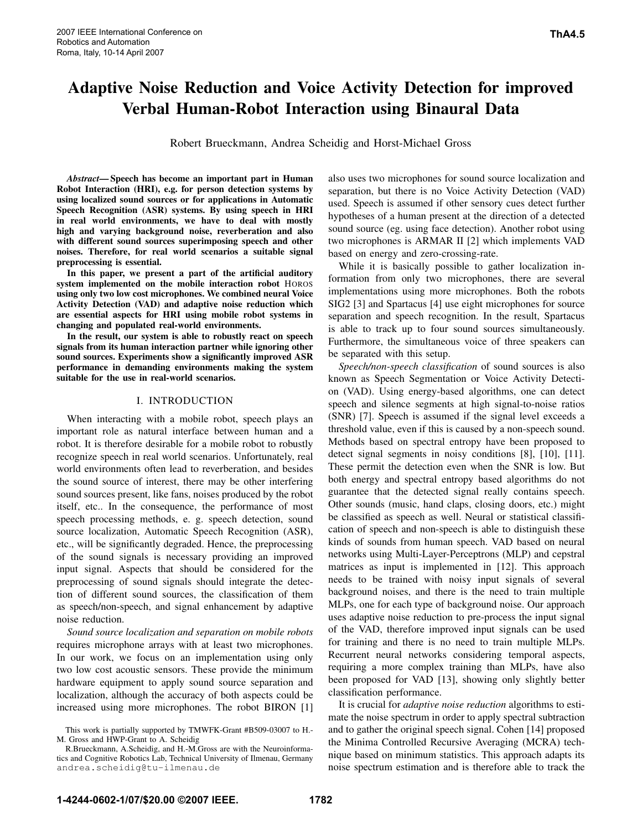# Adaptive Noise Reduction and Voice Activity Detection for improved Verbal Human-Robot Interaction using Binaural Data

Robert Brueckmann, Andrea Scheidig and Horst-Michael Gross

*Abstract*— Speech has become an important part in Human Robot Interaction (HRI), e.g. for person detection systems by using localized sound sources or for applications in Automatic Speech Recognition (ASR) systems. By using speech in HRI in real world environments, we have to deal with mostly high and varying background noise, reverberation and also with different sound sources superimposing speech and other noises. Therefore, for real world scenarios a suitable signal preprocessing is essential.

In this paper, we present a part of the artificial auditory system implemented on the mobile interaction robot HOROS using only two low cost microphones. We combined neural Voice Activity Detection (VAD) and adaptive noise reduction which are essential aspects for HRI using mobile robot systems in changing and populated real-world environments.

In the result, our system is able to robustly react on speech signals from its human interaction partner while ignoring other sound sources. Experiments show a significantly improved ASR performance in demanding environments making the system suitable for the use in real-world scenarios.

## I. INTRODUCTION

When interacting with a mobile robot, speech plays an important role as natural interface between human and a robot. It is therefore desirable for a mobile robot to robustly recognize speech in real world scenarios. Unfortunately, real world environments often lead to reverberation, and besides the sound source of interest, there may be other interfering sound sources present, like fans, noises produced by the robot itself, etc.. In the consequence, the performance of most speech processing methods, e. g. speech detection, sound source localization, Automatic Speech Recognition (ASR), etc., will be significantly degraded. Hence, the preprocessing of the sound signals is necessary providing an improved input signal. Aspects that should be considered for the preprocessing of sound signals should integrate the detection of different sound sources, the classification of them as speech/non-speech, and signal enhancement by adaptive noise reduction.

*Sound source localization and separation on mobile robots* requires microphone arrays with at least two microphones. In our work, we focus on an implementation using only two low cost acoustic sensors. These provide the minimum hardware equipment to apply sound source separation and localization, although the accuracy of both aspects could be increased using more microphones. The robot BIRON [1]

also uses two microphones for sound source localization and separation, but there is no Voice Activity Detection (VAD) used. Speech is assumed if other sensory cues detect further hypotheses of a human present at the direction of a detected sound source (eg. using face detection). Another robot using two microphones is ARMAR II [2] which implements VAD based on energy and zero-crossing-rate.

While it is basically possible to gather localization information from only two microphones, there are several implementations using more microphones. Both the robots SIG2 [3] and Spartacus [4] use eight microphones for source separation and speech recognition. In the result, Spartacus is able to track up to four sound sources simultaneously. Furthermore, the simultaneous voice of three speakers can be separated with this setup.

*Speech/non-speech classification* of sound sources is also known as Speech Segmentation or Voice Activity Detection (VAD). Using energy-based algorithms, one can detect speech and silence segments at high signal-to-noise ratios (SNR) [7]. Speech is assumed if the signal level exceeds a threshold value, even if this is caused by a non-speech sound. Methods based on spectral entropy have been proposed to detect signal segments in noisy conditions [8], [10], [11]. These permit the detection even when the SNR is low. But both energy and spectral entropy based algorithms do not guarantee that the detected signal really contains speech. Other sounds (music, hand claps, closing doors, etc.) might be classified as speech as well. Neural or statistical classification of speech and non-speech is able to distinguish these kinds of sounds from human speech. VAD based on neural networks using Multi-Layer-Perceptrons (MLP) and cepstral matrices as input is implemented in [12]. This approach needs to be trained with noisy input signals of several background noises, and there is the need to train multiple MLPs, one for each type of background noise. Our approach uses adaptive noise reduction to pre-process the input signal of the VAD, therefore improved input signals can be used for training and there is no need to train multiple MLPs. Recurrent neural networks considering temporal aspects, requiring a more complex training than MLPs, have also been proposed for VAD [13], showing only slightly better classification performance.

It is crucial for *adaptive noise reduction* algorithms to estimate the noise spectrum in order to apply spectral subtraction and to gather the original speech signal. Cohen [14] proposed the Minima Controlled Recursive Averaging (MCRA) technique based on minimum statistics. This approach adapts its noise spectrum estimation and is therefore able to track the

This work is partially supported by TMWFK-Grant #B509-03007 to H.- M. Gross and HWP-Grant to A. Scheidig

R.Brueckmann, A.Scheidig, and H.-M.Gross are with the Neuroinformatics and Cognitive Robotics Lab, Technical University of Ilmenau, Germany andrea.scheidig@tu-ilmenau.de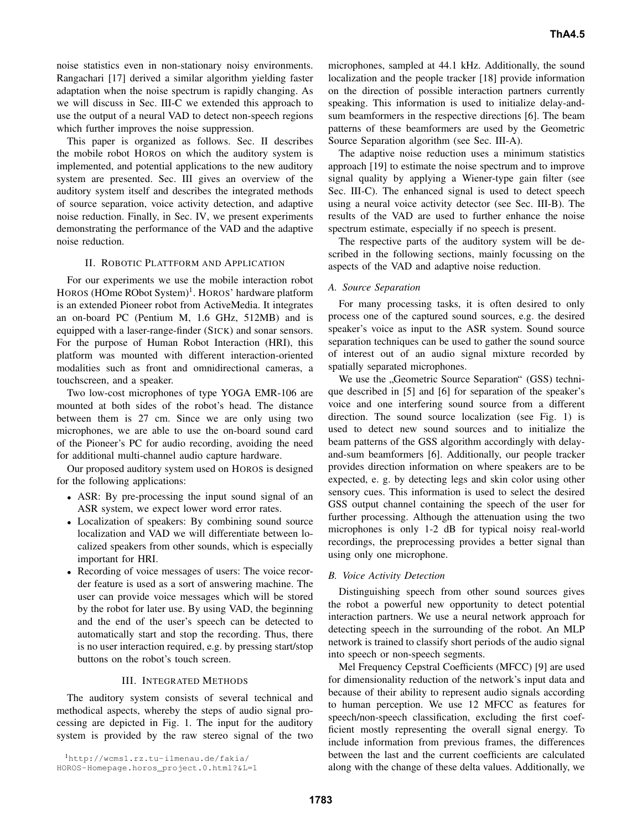noise statistics even in non-stationary noisy environments. Rangachari [17] derived a similar algorithm yielding faster adaptation when the noise spectrum is rapidly changing. As we will discuss in Sec. III-C we extended this approach to use the output of a neural VAD to detect non-speech regions which further improves the noise suppression.

This paper is organized as follows. Sec. II describes the mobile robot HOROS on which the auditory system is implemented, and potential applications to the new auditory system are presented. Sec. III gives an overview of the auditory system itself and describes the integrated methods of source separation, voice activity detection, and adaptive noise reduction. Finally, in Sec. IV, we present experiments demonstrating the performance of the VAD and the adaptive noise reduction.

# II. ROBOTIC PLATTFORM AND APPLICATION

For our experiments we use the mobile interaction robot HOROS (HOme RObot System)<sup>1</sup>. HOROS' hardware platform is an extended Pioneer robot from ActiveMedia. It integrates an on-board PC (Pentium M, 1.6 GHz, 512MB) and is equipped with a laser-range-finder (SICK) and sonar sensors. For the purpose of Human Robot Interaction (HRI), this platform was mounted with different interaction-oriented modalities such as front and omnidirectional cameras, a touchscreen, and a speaker.

Two low-cost microphones of type YOGA EMR-106 are mounted at both sides of the robot's head. The distance between them is 27 cm. Since we are only using two microphones, we are able to use the on-board sound card of the Pioneer's PC for audio recording, avoiding the need for additional multi-channel audio capture hardware.

Our proposed auditory system used on HOROS is designed for the following applications:

- ASR: By pre-processing the input sound signal of an ASR system, we expect lower word error rates.
- Localization of speakers: By combining sound source localization and VAD we will differentiate between localized speakers from other sounds, which is especially important for HRI.
- Recording of voice messages of users: The voice recorder feature is used as a sort of answering machine. The user can provide voice messages which will be stored by the robot for later use. By using VAD, the beginning and the end of the user's speech can be detected to automatically start and stop the recording. Thus, there is no user interaction required, e.g. by pressing start/stop buttons on the robot's touch screen.

## III. INTEGRATED METHODS

The auditory system consists of several technical and methodical aspects, whereby the steps of audio signal processing are depicted in Fig. 1. The input for the auditory system is provided by the raw stereo signal of the two

<sup>1</sup>http://wcms1.rz.tu-ilmenau.de/fakia/ HOROS-Homepage.horos\_project.0.html?&L=1 microphones, sampled at 44.1 kHz. Additionally, the sound localization and the people tracker [18] provide information on the direction of possible interaction partners currently speaking. This information is used to initialize delay-andsum beamformers in the respective directions [6]. The beam patterns of these beamformers are used by the Geometric Source Separation algorithm (see Sec. III-A).

The adaptive noise reduction uses a minimum statistics approach [19] to estimate the noise spectrum and to improve signal quality by applying a Wiener-type gain filter (see Sec. III-C). The enhanced signal is used to detect speech using a neural voice activity detector (see Sec. III-B). The results of the VAD are used to further enhance the noise spectrum estimate, especially if no speech is present.

The respective parts of the auditory system will be described in the following sections, mainly focussing on the aspects of the VAD and adaptive noise reduction.

# *A. Source Separation*

For many processing tasks, it is often desired to only process one of the captured sound sources, e.g. the desired speaker's voice as input to the ASR system. Sound source separation techniques can be used to gather the sound source of interest out of an audio signal mixture recorded by spatially separated microphones.

We use the "Geometric Source Separation" (GSS) techni-<br>a described in [5] and [6] for concretion of the appellario que described in [5] and [6] for separation of the speaker's voice and one interfering sound source from a different direction. The sound source localization (see Fig. 1) is used to detect new sound sources and to initialize the beam patterns of the GSS algorithm accordingly with delayand-sum beamformers [6]. Additionally, our people tracker provides direction information on where speakers are to be expected, e. g. by detecting legs and skin color using other sensory cues. This information is used to select the desired GSS output channel containing the speech of the user for further processing. Although the attenuation using the two microphones is only 1-2 dB for typical noisy real-world recordings, the preprocessing provides a better signal than using only one microphone.

# *B. Voice Activity Detection*

Distinguishing speech from other sound sources gives the robot a powerful new opportunity to detect potential interaction partners. We use a neural network approach for detecting speech in the surrounding of the robot. An MLP network is trained to classify short periods of the audio signal into speech or non-speech segments.

Mel Frequency Cepstral Coefficients (MFCC) [9] are used for dimensionality reduction of the network's input data and because of their ability to represent audio signals according to human perception. We use 12 MFCC as features for speech/non-speech classification, excluding the first coefficient mostly representing the overall signal energy. To include information from previous frames, the differences between the last and the current coefficients are calculated along with the change of these delta values. Additionally, we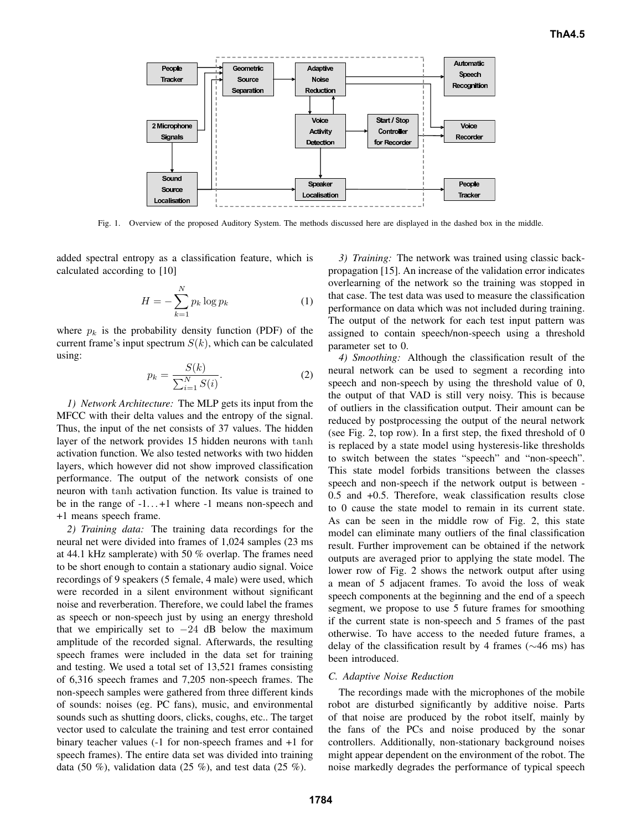

Fig. 1. Overview of the proposed Auditory System. The methods discussed here are displayed in the dashed box in the middle.

added spectral entropy as a classification feature, which is calculated according to [10]

$$
H = -\sum_{k=1}^{N} p_k \log p_k \tag{1}
$$

where  $p_k$  is the probability density function (PDF) of the current frame's input spectrum  $S(k)$ , which can be calculated using:

$$
p_k = \frac{S(k)}{\sum_{i=1}^N S(i)}.\tag{2}
$$

*1) Network Architecture:* The MLP gets its input from the MFCC with their delta values and the entropy of the signal. Thus, the input of the net consists of 37 values. The hidden layer of the network provides 15 hidden neurons with tanh activation function. We also tested networks with two hidden layers, which however did not show improved classification performance. The output of the network consists of one neuron with tanh activation function. Its value is trained to be in the range of  $-1 \dots +1$  where  $-1$  means non-speech and +1 means speech frame.

*2) Training data:* The training data recordings for the neural net were divided into frames of 1,024 samples (23 ms at 44.1 kHz samplerate) with 50 % overlap. The frames need to be short enough to contain a stationary audio signal. Voice recordings of 9 speakers (5 female, 4 male) were used, which were recorded in a silent environment without significant noise and reverberation. Therefore, we could label the frames as speech or non-speech just by using an energy threshold that we empirically set to  $-24$  dB below the maximum amplitude of the recorded signal. Afterwards, the resulting speech frames were included in the data set for training and testing. We used a total set of 13,521 frames consisting of 6,316 speech frames and 7,205 non-speech frames. The non-speech samples were gathered from three different kinds of sounds: noises (eg. PC fans), music, and environmental sounds such as shutting doors, clicks, coughs, etc.. The target vector used to calculate the training and test error contained binary teacher values (-1 for non-speech frames and +1 for speech frames). The entire data set was divided into training data (50 %), validation data (25 %), and test data (25 %).

*3) Training:* The network was trained using classic backpropagation [15]. An increase of the validation error indicates overlearning of the network so the training was stopped in that case. The test data was used to measure the classification performance on data which was not included during training. The output of the network for each test input pattern was assigned to contain speech/non-speech using a threshold parameter set to 0.

*4) Smoothing:* Although the classification result of the neural network can be used to segment a recording into speech and non-speech by using the threshold value of 0, the output of that VAD is still very noisy. This is because of outliers in the classification output. Their amount can be reduced by postprocessing the output of the neural network (see Fig. 2, top row). In a first step, the fixed threshold of 0 is replaced by a state model using hysteresis-like thresholds to switch between the states "speech" and "non-speech". This state model forbids transitions between the classes speech and non-speech if the network output is between - 0.5 and +0.5. Therefore, weak classification results close to 0 cause the state model to remain in its current state. As can be seen in the middle row of Fig. 2, this state model can eliminate many outliers of the final classification result. Further improvement can be obtained if the network outputs are averaged prior to applying the state model. The lower row of Fig. 2 shows the network output after using a mean of 5 adjacent frames. To avoid the loss of weak speech components at the beginning and the end of a speech segment, we propose to use 5 future frames for smoothing if the current state is non-speech and 5 frames of the past otherwise. To have access to the needed future frames, a delay of the classification result by 4 frames (∼46 ms) has been introduced.

#### *C. Adaptive Noise Reduction*

The recordings made with the microphones of the mobile robot are disturbed significantly by additive noise. Parts of that noise are produced by the robot itself, mainly by the fans of the PCs and noise produced by the sonar controllers. Additionally, non-stationary background noises might appear dependent on the environment of the robot. The noise markedly degrades the performance of typical speech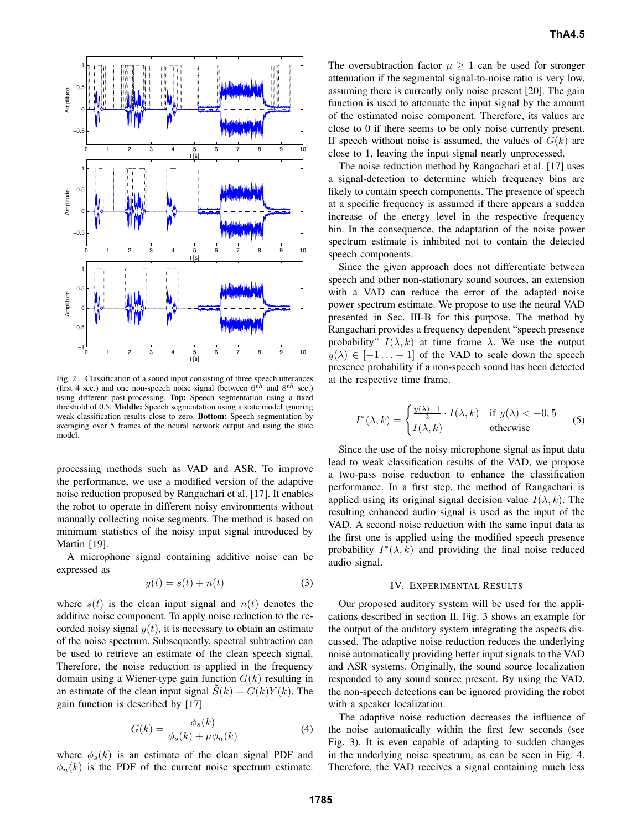

Fig. 2. Classification of a sound input consisting of three speech utterances (first 4 sec.) and one non-speech noise signal (between  $6^{th}$  and  $8^{th}$  sec.) using different post-processing. Top: Speech segmentation using a fixed threshold of 0.5. Middle: Speech segmentation using a state model ignoring weak classification results close to zero. Bottom: Speech segmentation by averaging over 5 frames of the neural network output and using the state model.

processing methods such as VAD and ASR. To improve the performance, we use a modified version of the adaptive noise reduction proposed by Rangachari et al. [17]. It enables the robot to operate in different noisy environments without manually collecting noise segments. The method is based on minimum statistics of the noisy input signal introduced by Martin [19].

A microphone signal containing additive noise can be expressed as

$$
y(t) = s(t) + n(t) \tag{3}
$$

where  $s(t)$  is the clean input signal and  $n(t)$  denotes the additive noise component. To apply noise reduction to the recorded noisy signal  $y(t)$ , it is necessary to obtain an estimate of the noise spectrum. Subsequently, spectral subtraction can be used to retrieve an estimate of the clean speech signal. Therefore, the noise reduction is applied in the frequency domain using a Wiener-type gain function  $G(k)$  resulting in an estimate of the clean input signal  $S(k) = G(k)Y(k)$ . The gain function is described by [17]

$$
G(k) = \frac{\phi_s(k)}{\phi_s(k) + \mu \phi_n(k)}\tag{4}
$$

where  $\phi_s(k)$  is an estimate of the clean signal PDF and  $\phi_n(k)$  is the PDF of the current noise spectrum estimate. The oversubtraction factor  $\mu \geq 1$  can be used for stronger attenuation if the segmental signal-to-noise ratio is very low, assuming there is currently only noise present [20]. The gain function is used to attenuate the input signal by the amount of the estimated noise component. Therefore, its values are close to 0 if there seems to be only noise currently present. If speech without noise is assumed, the values of  $G(k)$  are close to 1, leaving the input signal nearly unprocessed.

The noise reduction method by Rangachari et al. [17] uses a signal-detection to determine which frequency bins are likely to contain speech components. The presence of speech at a specific frequency is assumed if there appears a sudden increase of the energy level in the respective frequency bin. In the consequence, the adaptation of the noise power spectrum estimate is inhibited not to contain the detected speech components.

Since the given approach does not differentiate between speech and other non-stationary sound sources, an extension with a VAD can reduce the error of the adapted noise power spectrum estimate. We propose to use the neural VAD presented in Sec. III-B for this purpose. The method by Rangachari provides a frequency dependent "speech presence probability"  $I(\lambda, k)$  at time frame  $\lambda$ . We use the output  $y(\lambda) \in [-1 \dots + 1]$  of the VAD to scale down the speech presence probability if a non-speech sound has been detected at the respective time frame.

$$
I^*(\lambda, k) = \begin{cases} \frac{y(\lambda) + 1}{2} \cdot I(\lambda, k) & \text{if } y(\lambda) < -0, 5\\ I(\lambda, k) & \text{otherwise} \end{cases}
$$
 (5)

Since the use of the noisy microphone signal as input data lead to weak classification results of the VAD, we propose a two-pass noise reduction to enhance the classification performance. In a first step, the method of Rangachari is applied using its original signal decision value  $I(\lambda, k)$ . The resulting enhanced audio signal is used as the input of the VAD. A second noise reduction with the same input data as the first one is applied using the modified speech presence probability  $I^*(\lambda, k)$  and providing the final noise reduced audio signal.

#### IV. EXPERIMENTAL RESULTS

Our proposed auditory system will be used for the applications described in section II. Fig. 3 shows an example for the output of the auditory system integrating the aspects discussed. The adaptive noise reduction reduces the underlying noise automatically providing better input signals to the VAD and ASR systems. Originally, the sound source localization responded to any sound source present. By using the VAD, the non-speech detections can be ignored providing the robot with a speaker localization.

The adaptive noise reduction decreases the influence of the noise automatically within the first few seconds (see Fig. 3). It is even capable of adapting to sudden changes in the underlying noise spectrum, as can be seen in Fig. 4. Therefore, the VAD receives a signal containing much less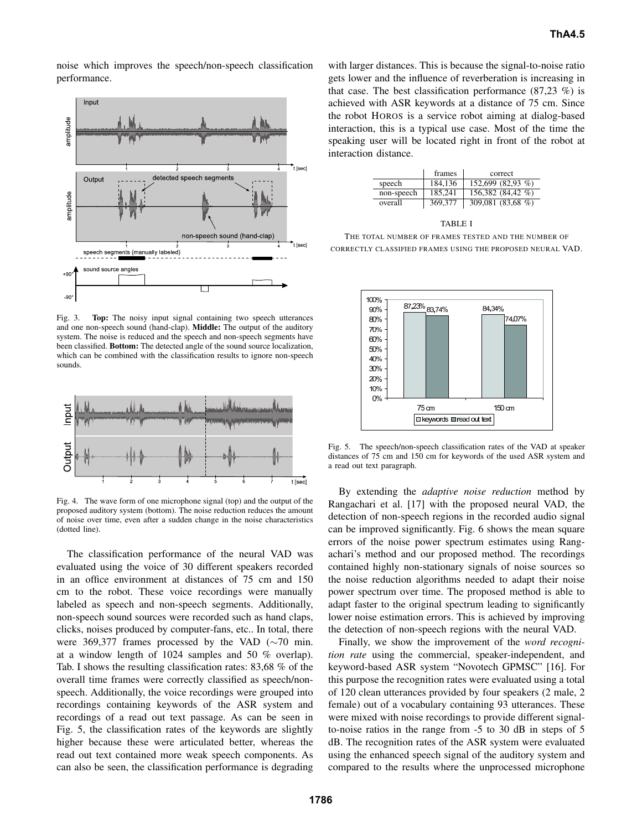noise which improves the speech/non-speech classification performance.



Fig. 3. Top: The noisy input signal containing two speech utterances and one non-speech sound (hand-clap). Middle: The output of the auditory system. The noise is reduced and the speech and non-speech segments have been classified. Bottom: The detected angle of the sound source localization, which can be combined with the classification results to ignore non-speech sounds.



Fig. 4. The wave form of one microphone signal (top) and the output of the proposed auditory system (bottom). The noise reduction reduces the amount of noise over time, even after a sudden change in the noise characteristics (dotted line).

The classification performance of the neural VAD was evaluated using the voice of 30 different speakers recorded in an office environment at distances of 75 cm and 150 cm to the robot. These voice recordings were manually labeled as speech and non-speech segments. Additionally, non-speech sound sources were recorded such as hand claps, clicks, noises produced by computer-fans, etc.. In total, there were 369,377 frames processed by the VAD (∼70 min. at a window length of 1024 samples and 50 % overlap). Tab. I shows the resulting classification rates: 83,68 % of the overall time frames were correctly classified as speech/nonspeech. Additionally, the voice recordings were grouped into recordings containing keywords of the ASR system and recordings of a read out text passage. As can be seen in Fig. 5, the classification rates of the keywords are slightly higher because these were articulated better, whereas the read out text contained more weak speech components. As can also be seen, the classification performance is degrading with larger distances. This is because the signal-to-noise ratio gets lower and the influence of reverberation is increasing in that case. The best classification performance  $(87,23\%)$  is achieved with ASR keywords at a distance of 75 cm. Since the robot HOROS is a service robot aiming at dialog-based interaction, this is a typical use case. Most of the time the speaking user will be located right in front of the robot at interaction distance.

|            | frames  | correct           |
|------------|---------|-------------------|
| speech     | 184.136 | 152,699 (82,93 %) |
| non-speech | 185.241 | 156,382 (84,42 %) |
| overall    | 369,377 | 309,081(83,68%)   |

TABLE I

|  |  |  |  |  | THE TOTAL NUMBER OF FRAMES TESTED AND THE NUMBER OF        |  |
|--|--|--|--|--|------------------------------------------------------------|--|
|  |  |  |  |  | CORRECTLY CLASSIFIED FRAMES USING THE PROPOSED NEURAL VAD. |  |
|  |  |  |  |  |                                                            |  |



Fig. 5. The speech/non-speech classification rates of the VAD at speaker distances of 75 cm and 150 cm for keywords of the used ASR system and a read out text paragraph.

By extending the *adaptive noise reduction* method by Rangachari et al. [17] with the proposed neural VAD, the detection of non-speech regions in the recorded audio signal can be improved significantly. Fig. 6 shows the mean square errors of the noise power spectrum estimates using Rangachari's method and our proposed method. The recordings contained highly non-stationary signals of noise sources so the noise reduction algorithms needed to adapt their noise power spectrum over time. The proposed method is able to adapt faster to the original spectrum leading to significantly lower noise estimation errors. This is achieved by improving the detection of non-speech regions with the neural VAD.

Finally, we show the improvement of the *word recognition rate* using the commercial, speaker-independent, and keyword-based ASR system "Novotech GPMSC" [16]. For this purpose the recognition rates were evaluated using a total of 120 clean utterances provided by four speakers (2 male, 2 female) out of a vocabulary containing 93 utterances. These were mixed with noise recordings to provide different signalto-noise ratios in the range from -5 to 30 dB in steps of 5 dB. The recognition rates of the ASR system were evaluated using the enhanced speech signal of the auditory system and compared to the results where the unprocessed microphone